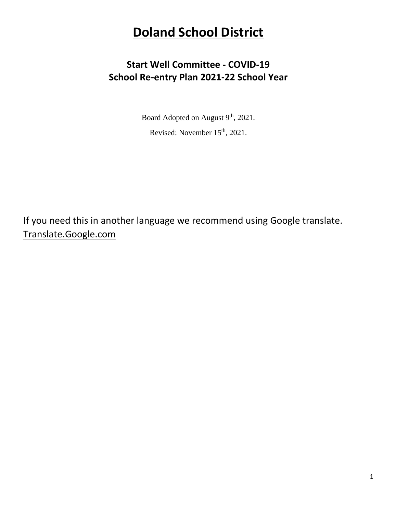# **Doland School District**

## **Start Well Committee - COVID-19 School Re-entry Plan 2021-22 School Year**

Board Adopted on August 9<sup>th</sup>, 2021.

Revised: November 15<sup>th</sup>, 2021.

If you need this in another language we recommend using Google translate. Translate.Google.com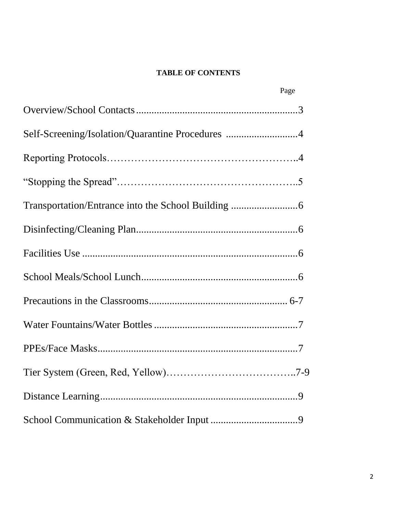#### **TABLE OF CONTENTS**

| Page                                             |
|--------------------------------------------------|
|                                                  |
| Self-Screening/Isolation/Quarantine Procedures 4 |
|                                                  |
|                                                  |
|                                                  |
|                                                  |
|                                                  |
|                                                  |
|                                                  |
|                                                  |
|                                                  |
|                                                  |
|                                                  |
|                                                  |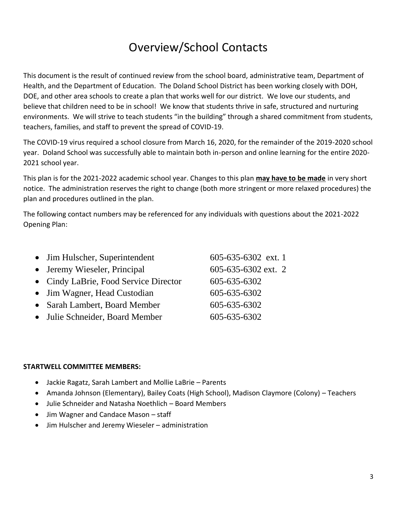# Overview/School Contacts

This document is the result of continued review from the school board, administrative team, Department of Health, and the Department of Education. The Doland School District has been working closely with DOH, DOE, and other area schools to create a plan that works well for our district. We love our students, and believe that children need to be in school! We know that students thrive in safe, structured and nurturing environments. We will strive to teach students "in the building" through a shared commitment from students, teachers, families, and staff to prevent the spread of COVID-19.

The COVID-19 virus required a school closure from March 16, 2020, for the remainder of the 2019-2020 school year. Doland School was successfully able to maintain both in-person and online learning for the entire 2020- 2021 school year.

This plan is for the 2021-2022 academic school year. Changes to this plan **may have to be made** in very short notice. The administration reserves the right to change (both more stringent or more relaxed procedures) the plan and procedures outlined in the plan.

The following contact numbers may be referenced for any individuals with questions about the 2021-2022 Opening Plan:

| • Jim Hulscher, Superintendent        | $605 - 635 - 6302$ ext. 1 |
|---------------------------------------|---------------------------|
| • Jeremy Wieseler, Principal          | 605-635-6302 ext. 2       |
| • Cindy LaBrie, Food Service Director | 605-635-6302              |
| • Jim Wagner, Head Custodian          | 605-635-6302              |
| • Sarah Lambert, Board Member         | 605-635-6302              |
| • Julie Schneider, Board Member       | 605-635-6302              |
|                                       |                           |

#### **STARTWELL COMMITTEE MEMBERS:**

- Jackie Ragatz, Sarah Lambert and Mollie LaBrie Parents
- Amanda Johnson (Elementary), Bailey Coats (High School), Madison Claymore (Colony) Teachers
- Julie Schneider and Natasha Noethlich Board Members
- Jim Wagner and Candace Mason staff
- Jim Hulscher and Jeremy Wieseler administration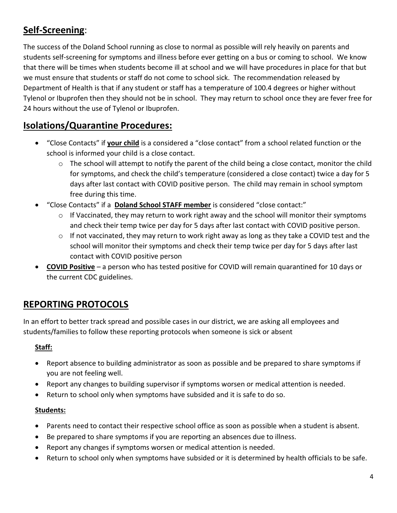## **Self-Screening**:

The success of the Doland School running as close to normal as possible will rely heavily on parents and students self-screening for symptoms and illness before ever getting on a bus or coming to school. We know that there will be times when students become ill at school and we will have procedures in place for that but we must ensure that students or staff do not come to school sick. The recommendation released by Department of Health is that if any student or staff has a temperature of 100.4 degrees or higher without Tylenol or Ibuprofen then they should not be in school. They may return to school once they are fever free for 24 hours without the use of Tylenol or Ibuprofen.

## **Isolations/Quarantine Procedures:**

- "Close Contacts" if **your child** is a considered a "close contact" from a school related function or the school is informed your child is a close contact.
	- o The school will attempt to notify the parent of the child being a close contact, monitor the child for symptoms, and check the child's temperature (considered a close contact) twice a day for 5 days after last contact with COVID positive person. The child may remain in school symptom free during this time.
- "Close Contacts" if a **Doland School STAFF member** is considered "close contact:"
	- $\circ$  If Vaccinated, they may return to work right away and the school will monitor their symptoms and check their temp twice per day for 5 days after last contact with COVID positive person.
	- $\circ$  If not vaccinated, they may return to work right away as long as they take a COVID test and the school will monitor their symptoms and check their temp twice per day for 5 days after last contact with COVID positive person
- **COVID Positive** a person who has tested positive for COVID will remain quarantined for 10 days or the current CDC guidelines.

## **REPORTING PROTOCOLS**

In an effort to better track spread and possible cases in our district, we are asking all employees and students/families to follow these reporting protocols when someone is sick or absent

#### **Staff:**

- Report absence to building administrator as soon as possible and be prepared to share symptoms if you are not feeling well.
- Report any changes to building supervisor if symptoms worsen or medical attention is needed.
- Return to school only when symptoms have subsided and it is safe to do so.

#### **Students:**

- Parents need to contact their respective school office as soon as possible when a student is absent.
- Be prepared to share symptoms if you are reporting an absences due to illness.
- Report any changes if symptoms worsen or medical attention is needed.
- Return to school only when symptoms have subsided or it is determined by health officials to be safe.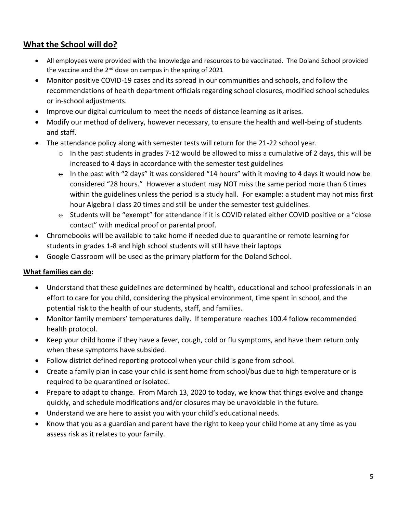### **What the School will do?**

- All employees were provided with the knowledge and resources to be vaccinated. The Doland School provided the vaccine and the  $2^{nd}$  dose on campus in the spring of 2021
- Monitor positive COVID-19 cases and its spread in our communities and schools, and follow the recommendations of health department officials regarding school closures, modified school schedules or in-school adjustments.
- Improve our digital curriculum to meet the needs of distance learning as it arises.
- Modify our method of delivery, however necessary, to ensure the health and well-being of students and staff.
- The attendance policy along with semester tests will return for the 21-22 school year.
	- $\div$  In the past students in grades 7-12 would be allowed to miss a cumulative of 2 days, this will be increased to 4 days in accordance with the semester test guidelines
	- $\theta$  In the past with "2 days" it was considered "14 hours" with it moving to 4 days it would now be considered "28 hours." However a student may NOT miss the same period more than 6 times within the guidelines unless the period is a study hall. For example: a student may not miss first hour Algebra I class 20 times and still be under the semester test guidelines.
	- $\ominus$  Students will be "exempt" for attendance if it is COVID related either COVID positive or a "close contact" with medical proof or parental proof.
- Chromebooks will be available to take home if needed due to quarantine or remote learning for students in grades 1-8 and high school students will still have their laptops
- Google Classroom will be used as the primary platform for the Doland School.

#### **What families can do:**

- Understand that these guidelines are determined by health, educational and school professionals in an effort to care for you child, considering the physical environment, time spent in school, and the potential risk to the health of our students, staff, and families.
- Monitor family members' temperatures daily. If temperature reaches 100.4 follow recommended health protocol.
- Keep your child home if they have a fever, cough, cold or flu symptoms, and have them return only when these symptoms have subsided.
- Follow district defined reporting protocol when your child is gone from school.
- Create a family plan in case your child is sent home from school/bus due to high temperature or is required to be quarantined or isolated.
- Prepare to adapt to change. From March 13, 2020 to today, we know that things evolve and change quickly, and schedule modifications and/or closures may be unavoidable in the future.
- Understand we are here to assist you with your child's educational needs.
- Know that you as a guardian and parent have the right to keep your child home at any time as you assess risk as it relates to your family.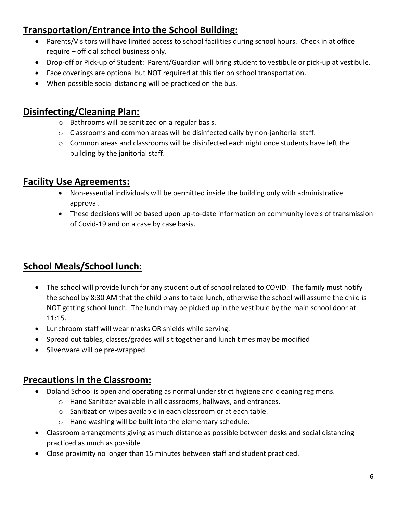## **Transportation/Entrance into the School Building:**

- Parents/Visitors will have limited access to school facilities during school hours. Check in at office require – official school business only.
- Drop-off or Pick-up of Student: Parent/Guardian will bring student to vestibule or pick-up at vestibule.
- Face coverings are optional but NOT required at this tier on school transportation.
- When possible social distancing will be practiced on the bus.

## **Disinfecting/Cleaning Plan:**

- o Bathrooms will be sanitized on a regular basis.
- $\circ$  Classrooms and common areas will be disinfected daily by non-janitorial staff.
- $\circ$  Common areas and classrooms will be disinfected each night once students have left the building by the janitorial staff.

## **Facility Use Agreements:**

- Non-essential individuals will be permitted inside the building only with administrative approval.
- These decisions will be based upon up-to-date information on community levels of transmission of Covid-19 and on a case by case basis.

## **School Meals/School lunch:**

- The school will provide lunch for any student out of school related to COVID. The family must notify the school by 8:30 AM that the child plans to take lunch, otherwise the school will assume the child is NOT getting school lunch. The lunch may be picked up in the vestibule by the main school door at 11:15.
- Lunchroom staff will wear masks OR shields while serving.
- Spread out tables, classes/grades will sit together and lunch times may be modified
- Silverware will be pre-wrapped.

## **Precautions in the Classroom:**

- Doland School is open and operating as normal under strict hygiene and cleaning regimens.
	- o Hand Sanitizer available in all classrooms, hallways, and entrances.
	- o Sanitization wipes available in each classroom or at each table.
	- o Hand washing will be built into the elementary schedule.
- Classroom arrangements giving as much distance as possible between desks and social distancing practiced as much as possible
- Close proximity no longer than 15 minutes between staff and student practiced.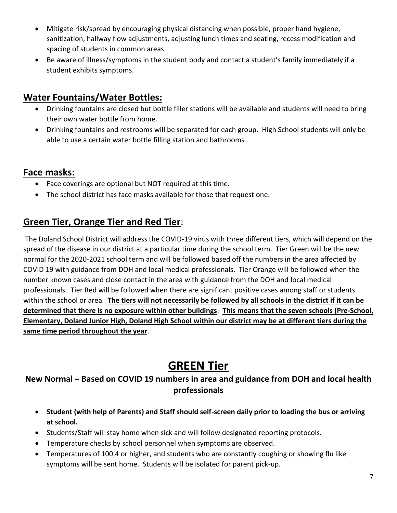- Mitigate risk/spread by encouraging physical distancing when possible, proper hand hygiene, sanitization, hallway flow adjustments, adjusting lunch times and seating, recess modification and spacing of students in common areas.
- Be aware of illness/symptoms in the student body and contact a student's family immediately if a student exhibits symptoms.

### **Water Fountains/Water Bottles:**

- Drinking fountains are closed but bottle filler stations will be available and students will need to bring their own water bottle from home.
- Drinking fountains and restrooms will be separated for each group. High School students will only be able to use a certain water bottle filling station and bathrooms

### **Face masks:**

- Face coverings are optional but NOT required at this time.
- The school district has face masks available for those that request one.

## **Green Tier, Orange Tier and Red Tier**:

The Doland School District will address the COVID-19 virus with three different tiers, which will depend on the spread of the disease in our district at a particular time during the school term. Tier Green will be the new normal for the 2020-2021 school term and will be followed based off the numbers in the area affected by COVID 19 with guidance from DOH and local medical professionals. Tier Orange will be followed when the number known cases and close contact in the area with guidance from the DOH and local medical professionals. Tier Red will be followed when there are significant positive cases among staff or students within the school or area. **The tiers will not necessarily be followed by all schools in the district if it can be determined that there is no exposure within other buildings**. **This means that the seven schools (Pre-School, Elementary, Doland Junior High, Doland High School within our district may be at different tiers during the same time period throughout the year**.

## **GREEN Tier**

### **New Normal – Based on COVID 19 numbers in area and guidance from DOH and local health professionals**

- **Student (with help of Parents) and Staff should self-screen daily prior to loading the bus or arriving at school.**
- Students/Staff will stay home when sick and will follow designated reporting protocols.
- Temperature checks by school personnel when symptoms are observed.
- Temperatures of 100.4 or higher, and students who are constantly coughing or showing flu like symptoms will be sent home. Students will be isolated for parent pick-up.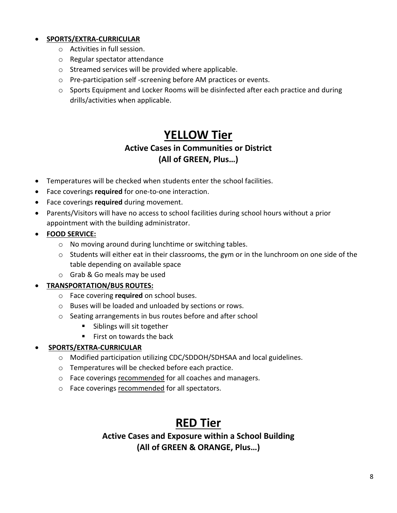#### • **SPORTS/EXTRA-CURRICULAR**

- o Activities in full session.
- o Regular spectator attendance
- o Streamed services will be provided where applicable.
- o Pre-participation self -screening before AM practices or events.
- $\circ$  Sports Equipment and Locker Rooms will be disinfected after each practice and during drills/activities when applicable.

## **YELLOW Tier**

#### **Active Cases in Communities or District (All of GREEN, Plus…)**

- Temperatures will be checked when students enter the school facilities.
- Face coverings **required** for one-to-one interaction.
- Face coverings **required** during movement.
- Parents/Visitors will have no access to school facilities during school hours without a prior appointment with the building administrator.
- **FOOD SERVICE:**
	- o No moving around during lunchtime or switching tables.
	- $\circ$  Students will either eat in their classrooms, the gym or in the lunchroom on one side of the table depending on available space
	- o Grab & Go meals may be used

#### • **TRANSPORTATION/BUS ROUTES:**

- o Face covering **required** on school buses.
- o Buses will be loaded and unloaded by sections or rows.
- o Seating arrangements in bus routes before and after school
	- Siblings will sit together
	- First on towards the back

#### • **SPORTS/EXTRA-CURRICULAR**

- o Modified participation utilizing CDC/SDDOH/SDHSAA and local guidelines.
- o Temperatures will be checked before each practice.
- o Face coverings recommended for all coaches and managers.
- o Face coverings recommended for all spectators.

## **RED Tier**

**Active Cases and Exposure within a School Building (All of GREEN & ORANGE, Plus…)**